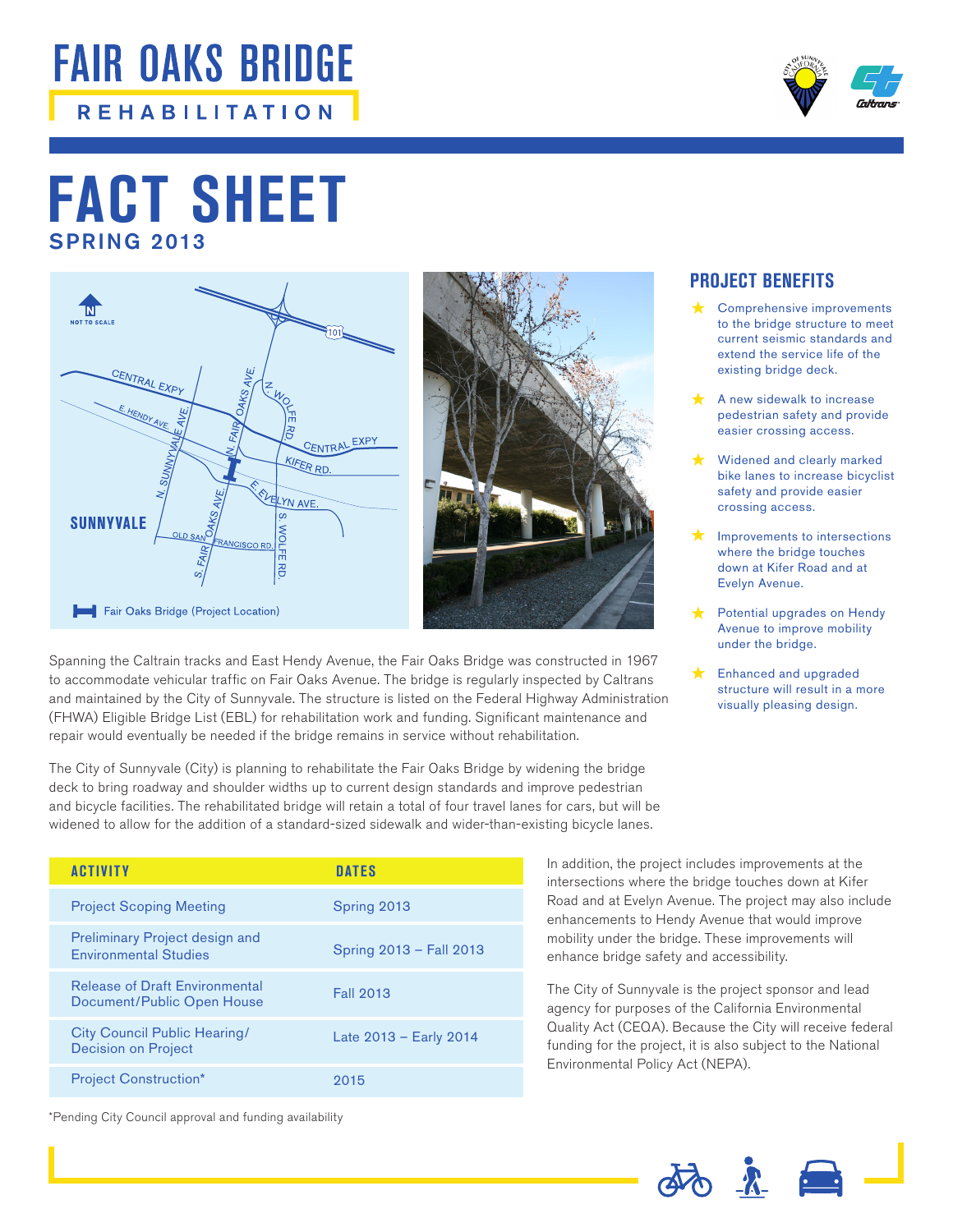## **FAIR OAKS BRIDGE REHABILITATION**



## SPRING 2013 **FACT SHEET**





Spanning the Caltrain tracks and East Hendy Avenue, the Fair Oaks Bridge was constructed in 1967 to accommodate vehicular traffic on Fair Oaks Avenue. The bridge is regularly inspected by Caltrans and maintained by the City of Sunnyvale. The structure is listed on the Federal Highway Administration (FHWA) Eligible Bridge List (EBL) for rehabilitation work and funding. Significant maintenance and repair would eventually be needed if the bridge remains in service without rehabilitation.

The City of Sunnyvale (City) is planning to rehabilitate the Fair Oaks Bridge by widening the bridge deck to bring roadway and shoulder widths up to current design standards and improve pedestrian and bicycle facilities. The rehabilitated bridge will retain a total of four travel lanes for cars, but will be widened to allow for the addition of a standard-sized sidewalk and wider-than-existing bicycle lanes.

| <b>ACTIVITY</b>                                                       | <b>DATES</b>            |
|-----------------------------------------------------------------------|-------------------------|
| <b>Project Scoping Meeting</b>                                        | Spring 2013             |
| <b>Preliminary Project design and</b><br><b>Environmental Studies</b> | Spring 2013 - Fall 2013 |
| <b>Release of Draft Environmental</b><br>Document/Public Open House   | <b>Fall 2013</b>        |
| City Council Public Hearing/<br><b>Decision on Project</b>            | Late 2013 - Early 2014  |
| <b>Project Construction*</b>                                          | 2015                    |

In addition, the project includes improvements at the

intersections where the bridge touches down at Kifer Road and at Evelyn Avenue. The project may also include enhancements to Hendy Avenue that would improve mobility under the bridge. These improvements will enhance bridge safety and accessibility.

The City of Sunnyvale is the project sponsor and lead agency for purposes of the California Environmental Quality Act (CEQA). Because the City will receive federal funding for the project, it is also subject to the National Environmental Policy Act (NEPA).

外立国



crossing access.

**PROJECT BENEFITS**

Comprehensive improvements to the bridge structure to meet current seismic standards and extend the service life of the existing bridge deck.

A new sidewalk to increase pedestrian safety and provide easier crossing access.

- Improvements to intersections where the bridge touches down at Kifer Road and at Evelyn Avenue.
- Potential upgrades on Hendy Avenue to improve mobility under the bridge.
- $\bigstar$  Enhanced and upgraded structure will result in a more visually pleasing design.

\*Pending City Council approval and funding availability